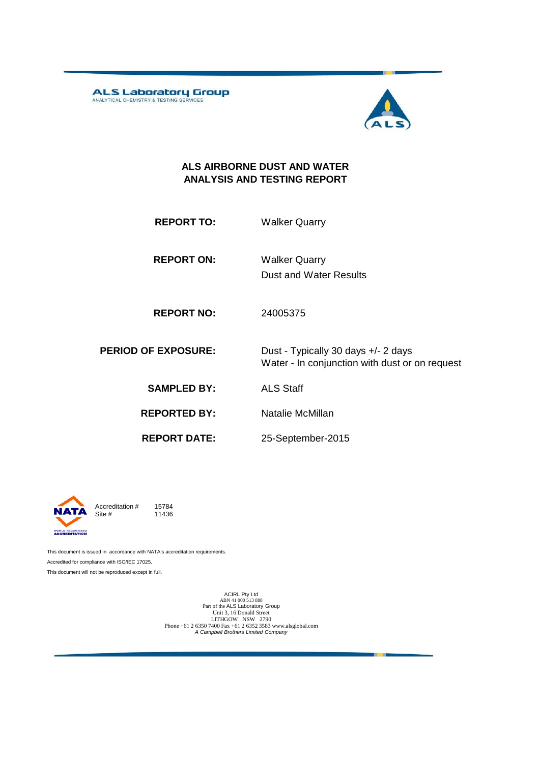ALS Laboratory Group



### **ALS AIRBORNE DUST AND WATER ANALYSIS AND TESTING REPORT**

**REPORT TO:** Walker Quarry

**REPORT ON:** Dust and Water Results Walker Quarry

**REPORT NO:** 24005375

**PERIOD OF EXPOSURE:** Dust - Typically 30 days +/- 2 days Water - In conjunction with dust or on request

**SAMPLED BY:** ALS Staff

**REPORTED BY:** Natalie McMillan

**REPORT DATE:**

25-September-2015



Accreditation  $\#$  15784<br>Site  $\#$  11436 11436

This document is issued in accordance with NATA's accreditation requirements. Accredited for compliance with ISO/IEC 17025. This document will not be reproduced except in full.

> ACIRL Pty Ltd<br>ABN 41 000 513 888<br>Part of the ALS Laboratory Group Unit 3, 16 Donald Street LITHGOW NSW 2790 Phone +61 2 6350 7400 Fax +61 2 6352 3583 www.alsglobal.com *A Campbell Brothers Limited Company*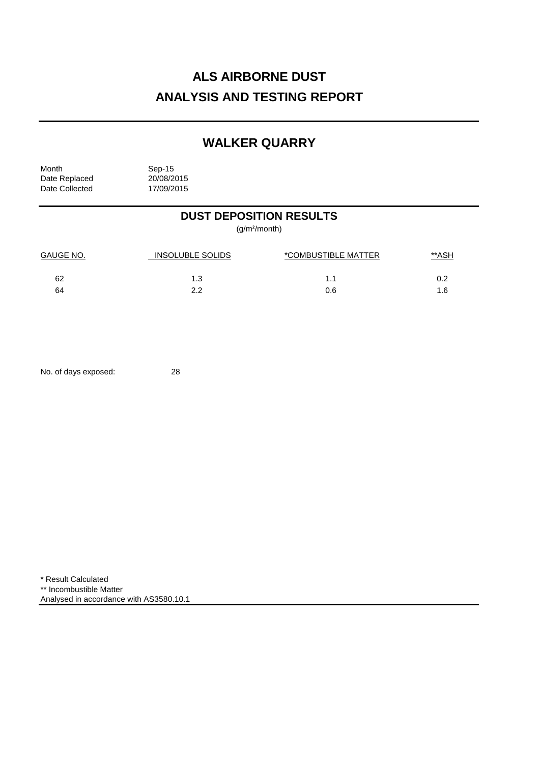# **ALS AIRBORNE DUST ANALYSIS AND TESTING REPORT**

## **WALKER QUARRY**

Month Sep-15<br>Date Replaced 20/08/2015 Date Replaced 20/08/2015<br>Date Collected 17/09/2015 Date Collected

## **DUST DEPOSITION RESULTS**

(g/m²/month)

| GAUGE NO. | INSOLUBLE SOLIDS | *COMBUSTIBLE MATTER | <u>**ASH</u> |
|-----------|------------------|---------------------|--------------|
| 62        | 1.3              |                     |              |
| 64        | າ າ              | 0.6                 |              |

No. of days exposed: 28

\* Result Calculated \*\* Incombustible Matter Analysed in accordance with AS3580.10.1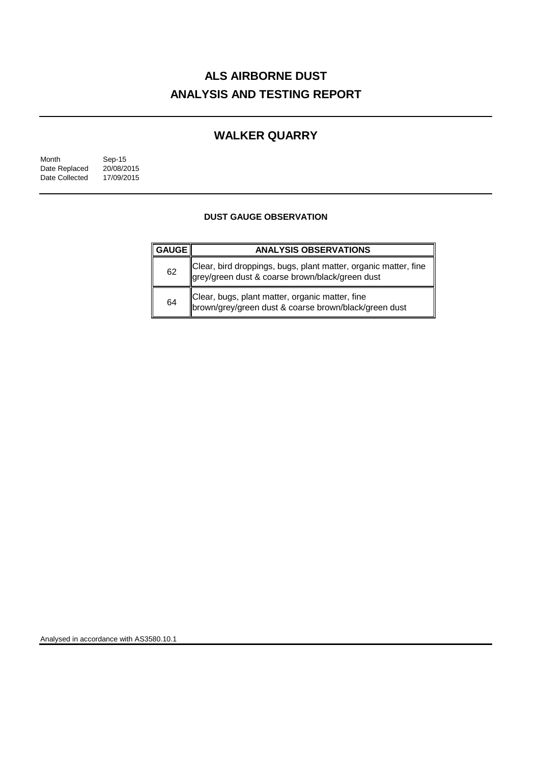# **ALS AIRBORNE DUST ANALYSIS AND TESTING REPORT**

## **WALKER QUARRY**

| Month          | Sep-15     |  |
|----------------|------------|--|
| Date Replaced  | 20/08/2015 |  |
| Date Collected | 17/09/2015 |  |

### **DUST GAUGE OBSERVATION**

| <b>GAUGE</b> | <b>ANALYSIS OBSERVATIONS</b>                                                                                       |
|--------------|--------------------------------------------------------------------------------------------------------------------|
| 62           | Clear, bird droppings, bugs, plant matter, organic matter, fine<br>grey/green dust & coarse brown/black/green dust |
| 64           | Clear, bugs, plant matter, organic matter, fine<br>brown/grey/green dust & coarse brown/black/green dust           |

Analysed in accordance with AS3580.10.1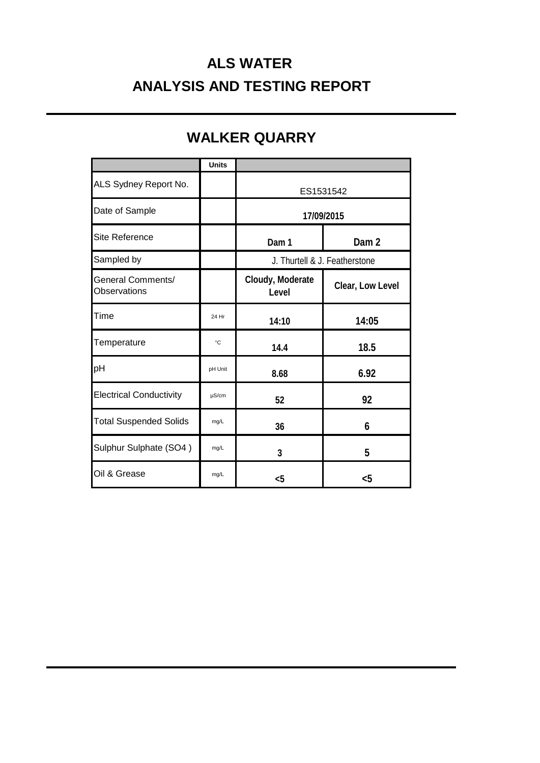# **ALS WATER ANALYSIS AND TESTING REPORT**

|                                                 | <b>Units</b> |                               |                  |
|-------------------------------------------------|--------------|-------------------------------|------------------|
| ALS Sydney Report No.                           |              | ES1531542                     |                  |
| Date of Sample                                  |              | 17/09/2015                    |                  |
| <b>Site Reference</b>                           |              | Dam 1                         | Dam <sub>2</sub> |
| Sampled by                                      |              | J. Thurtell & J. Featherstone |                  |
| <b>General Comments/</b><br><b>Observations</b> |              | Cloudy, Moderate<br>Level     | Clear, Low Level |
| Time                                            | 24 Hr        | 14:10                         | 14:05            |
| Temperature                                     | °C           | 14.4                          | 18.5             |
| pH                                              | pH Unit      | 8.68                          | 6.92             |
| <b>Electrical Conductivity</b>                  | $\mu$ S/cm   | 52                            | 92               |
| <b>Total Suspended Solids</b>                   | mg/L         | 36                            | 6                |
| Sulphur Sulphate (SO4)                          | mg/L         | 3                             | 5                |
| Oil & Grease                                    | mg/L         | $5$                           | $<$ 5            |

## **WALKER QUARRY**